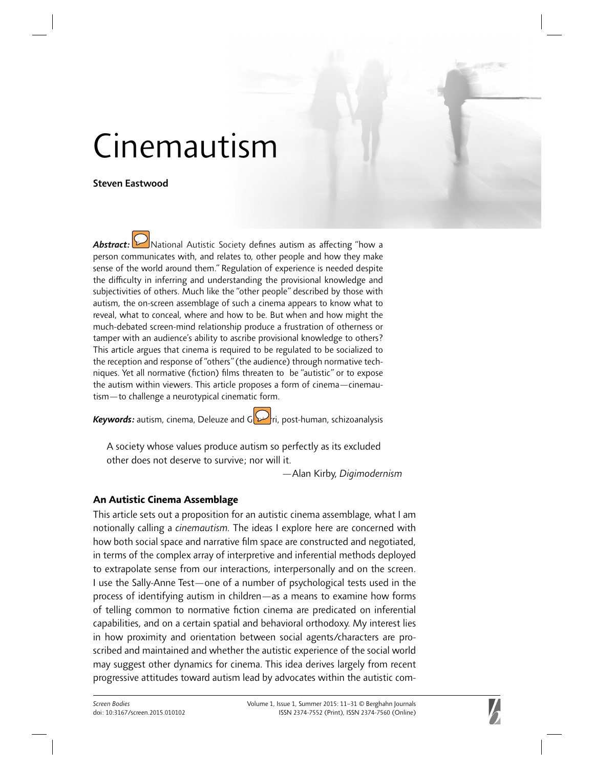# *Cinemautism*

# *Steven Eastwood*

Abstract: National Autistic Society defines autism as affecting "how a *person communicates with, and relates to, other people and how they make sense of the world around them." Regulation of experience is needed despite*  the difficulty in inferring and understanding the provisional knowledge and *subjectivities of others. Much like the "other people" described by those with autism, the on-screen assemblage of such a cinema appears to know what to*  reveal, what to conceal, where and how to be. But when and how might the *much-debated screen-mind relationship produce a frustration of otherness or tamper with an audience's ability to ascribe provisional knowledge to others? This article argues that cinema is required to be regulated to be socialized to the reception and response of "others" (the audience) through normative techniques. Yet all normative (fi ction) fi lms threaten to be "autistic" or to expose the autism within viewers. This article proposes a form of cinema—cinemautism—to challenge a neurotypical cinematic form.*

*Keywords: autism, cinema, Deleuze and Guatarri, post-human, schizoanalysis*

*A society whose values produce autism so perfectly as its excluded other does not deserve to survive; nor will it.* 

*—Alan Kirby, Digimodernism*

# *An Autistic Cinema Assemblage*

*This article sets out a proposition for an autistic cinema assemblage, what I am notionally calling a cinemautism. The ideas I explore here are concerned with how both social space and narrative fi lm space are constructed and negotiated, in terms of the complex array of interpretive and inferential methods deployed*  to extrapolate sense from our interactions, interpersonally and on the screen. *I use the Sally-Anne Test—one of a number of psychological tests used in the process of identifying autism in children—as a means to examine how forms*  of telling common to normative fiction cinema are predicated on inferential *capabilities, and on a certain spatial and behavioral orthodoxy. My interest lies in how proximity and orientation between social agents/characters are proscribed and maintained and whether the autistic experience of the social world may suggest other dynamics for cinema. This idea derives largely from recent progressive attitudes toward autism lead by advocates within the autistic com-*

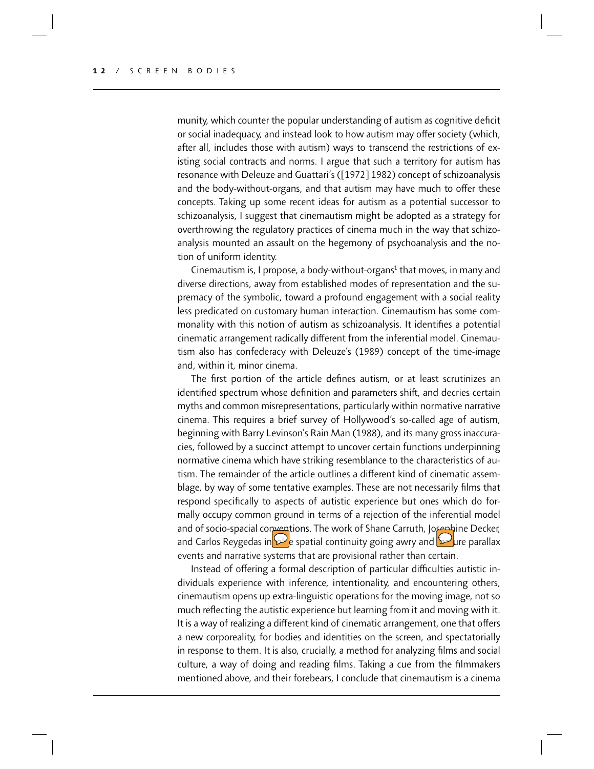munity, which counter the popular understanding of autism as cognitive deficit or social inadequacy, and instead look to how autism may offer society (which, after all, includes those with autism) ways to transcend the restrictions of ex*isting social contracts and norms. I argue that such a territory for autism has resonance with Deleuze and Guattari's ([1972] 1982) concept of schizoanalysis*  and the body-without-organs, and that autism may have much to offer these *concepts. Taking up some recent ideas for autism as a potential successor to schizoanalysis, I suggest that cinemautism might be adopted as a strategy for overthrowing the regulatory practices of cinema much in the way that schizoanalysis mounted an assault on the hegemony of psychoanalysis and the notion of uniform identity.*

*Cinemautism is, I propose, a body-without-organs1 that moves, in many and diverse directions, away from established modes of representation and the supremacy of the symbolic, toward a profound engagement with a social reality less predicated on customary human interaction. Cinemautism has some commonality with this notion of autism as schizoanalysis. It identifies a potential* cinematic arrangement radically different from the inferential model. Cinemau*tism also has confederacy with Deleuze's (1989) concept of the time-image and, within it, minor cinema.* 

The first portion of the article defines autism, or at least scrutinizes an *identified spectrum whose definition and parameters shift, and decries certain myths and common misrepresentations, particularly within normative narrative cinema. This requires a brief survey of Hollywood's so-called age of autism, beginning with Barry Levinson's Rain Man (1988), and its many gross inaccuracies, followed by a succinct attempt to uncover certain functions underpinning normative cinema which have striking resemblance to the characteristics of au*tism. The remainder of the article outlines a different kind of cinematic assemblage, by way of some tentative examples. These are not necessarily films that respond specifically to aspects of autistic experience but ones which do for*mally occupy common ground in terms of a rejection of the inferential model and of socio-spacial conventions. The work of Shane Carruth, Josephine Decker,*  and Carlos Reygedas in  $\Omega$  e spatial continuity going awry and  $\Omega$  are parallax *events and narrative systems that are provisional rather than certain.*

Instead of offering a formal description of particular difficulties autistic in*dividuals experience with inference, intentionality, and encountering others, cinemautism opens up extra-linguistic operations for the moving image, not so*  much reflecting the autistic experience but learning from it and moving with it. It is a way of realizing a different kind of cinematic arrangement, one that offers *a new corporeality, for bodies and identities on the screen, and spectatorially*  in response to them. It is also, crucially, a method for analyzing films and social *culture, a way of doing and reading films. Taking a cue from the filmmakers mentioned above, and their forebears, I conclude that cinemautism is a cinema*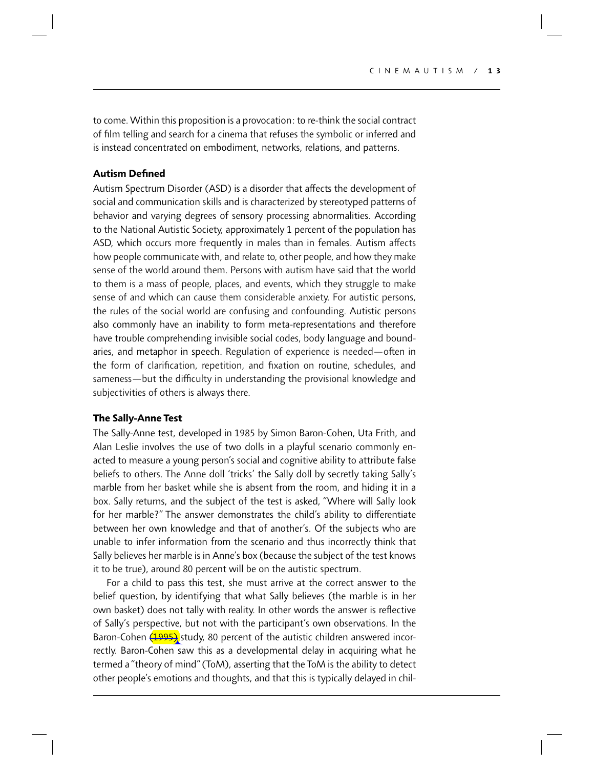*to come. Within this proposition is a provocation: to re-think the social contract*  of film telling and search for a cinema that refuses the symbolic or inferred and *is instead concentrated on embodiment, networks, relations, and patterns.*

## *Autism Defi ned*

*Autism Spectrum Disorder (ASD) is a disorder that aff ects the development of social and communication skills and is characterized by stereotyped patterns of behavior and varying degrees of sensory processing abnormalities. According to the National Autistic Society, approximately 1 percent of the population has*  ASD, which occurs more frequently in males than in females. Autism affects *how people communicate with, and relate to, other people, and how they make sense of the world around them. Persons with autism have said that the world*  to them is a mass of people, places, and events, which they struggle to make *sense of and which can cause them considerable anxiety. For autistic persons, the rules of the social world are confusing and confounding. Autistic persons also commonly have an inability to form meta-representations and therefore have trouble comprehending invisible social codes, body language and bound*aries, and metaphor in speech. Regulation of experience is needed—often in *the form of clarifi cation, repetition, and fi xation on routine, schedules, and*  sameness—but the difficulty in understanding the provisional knowledge and *subjectivities of others is always there.*

#### *The Sally-Anne Test*

*The Sally-Anne test, developed in 1985 by Simon Baron-Cohen, Uta Frith, and Alan Leslie involves the use of two dolls in a playful scenario commonly enacted to measure a young person's social and cognitive ability to attribute false beliefs to others. The Anne doll 'tricks' the Sally doll by secretly taking Sally's marble from her basket while she is absent from the room, and hiding it in a box. Sally returns, and the subject of the test is asked, "Where will Sally look*  for her marble?" The answer demonstrates the child's ability to differentiate *between her own knowledge and that of another's. Of the subjects who are unable to infer information from the scenario and thus incorrectly think that Sally believes her marble is in Anne's box (because the subject of the test knows it to be true), around 80 percent will be on the autistic spectrum.*

For a child to pass this test, she must arrive at the correct answer to the *belief question, by identifying that what Sally believes (the marble is in her own basket) does not tally with reality. In other words the answer is reflective of Sally's perspective, but not with the participant's own observations. In the*  Baron-Cohen  $\frac{(1995)}{2}$  study, 80 percent of the autistic children answered incorrectly. Baron-Cohen saw this as a developmental delay in acquiring what he *termed a "theory of mind" (ToM), asserting that the ToM is the ability to detect other people's emotions and thoughts, and that this is typically delayed in chil-*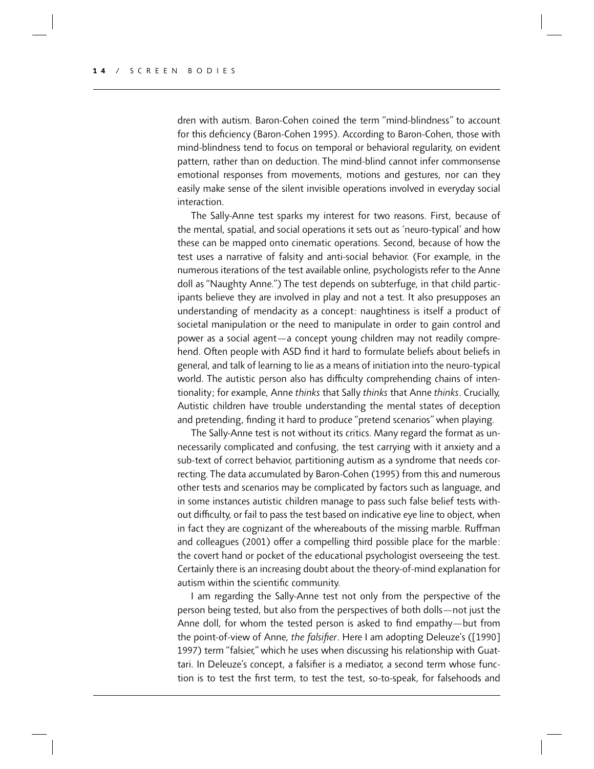*dren with autism. Baron-Cohen coined the term "mind-blindness" to account*  for this deficiency (Baron-Cohen 1995). According to Baron-Cohen, those with *mind-blindness tend to focus on temporal or behavioral regularity, on evident pattern, rather than on deduction. The mind-blind cannot infer commonsense emotional responses from movements, motions and gestures, nor can they easily make sense of the silent invisible operations involved in everyday social interaction.*

*The Sally-Anne test sparks my interest for two reasons. First, because of the mental, spatial, and social operations it sets out as 'neuro-typical' and how these can be mapped onto cinematic operations. Second, because of how the test uses a narrative of falsity and anti-social behavior. (For example, in the numerous iterations of the test available online, psychologists refer to the Anne doll as "Naughty Anne.") The test depends on subterfuge, in that child participants believe they are involved in play and not a test. It also presupposes an understanding of mendacity as a concept: naughtiness is itself a product of*  societal manipulation or the need to manipulate in order to gain control and *power as a social agent—a concept young children may not readily compre*hend. Often people with ASD find it hard to formulate beliefs about beliefs in *general, and talk of learning to lie as a means of initiation into the neuro-typical*  world. The autistic person also has difficulty comprehending chains of inten*tionality; for example, Anne thinks that Sally thinks that Anne thinks. Crucially, Autistic children have trouble understanding the mental states of deception*  and pretending, finding it hard to produce "pretend scenarios" when playing.

*The Sally-Anne test is not without its critics. Many regard the format as unnecessarily complicated and confusing, the test carrying with it anxiety and a sub-text of correct behavior, partitioning autism as a syndrome that needs correcting. The data accumulated by Baron-Cohen (1995) from this and numerous other tests and scenarios may be complicated by factors such as language, and in some instances autistic children manage to pass such false belief tests without diffi culty, or fail to pass the test based on indicative eye line to object, when*  in fact they are cognizant of the whereabouts of the missing marble. Ruffman and colleagues (2001) offer a compelling third possible place for the marble: *the covert hand or pocket of the educational psychologist overseeing the test. Certainly there is an increasing doubt about the theory-of-mind explanation for*  autism within the scientific community.

*I am regarding the Sally-Anne test not only from the perspective of the person being tested, but also from the perspectives of both dolls—not just the*  Anne doll, for whom the tested person is asked to find empathy-but from *the point-of-view of Anne, the falsifier*. Here I am adopting Deleuze's ([1990] *1997) term "falsier," which he uses when discussing his relationship with Guat*tari. In Deleuze's concept, a falsifier is a mediator, a second term whose function is to test the first term, to test the test, so-to-speak, for falsehoods and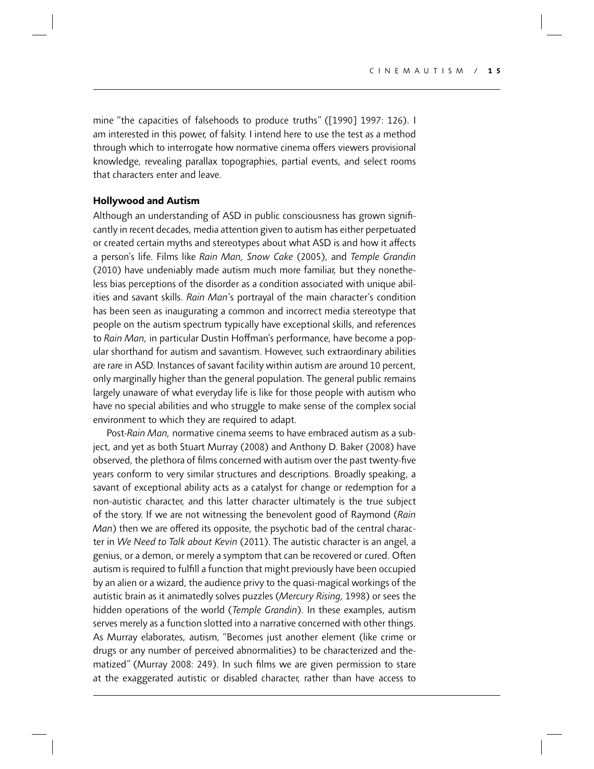*mine "the capacities of falsehoods to produce truths" ([1990] 1997: 126). I am interested in this power, of falsity. I intend here to use the test as a method through which to interrogate how normative cinema off ers viewers provisional knowledge, revealing parallax topographies, partial events, and select rooms that characters enter and leave.*

#### *Hollywood and Autism*

*Although an understanding of ASD in public consciousness has grown signifi cantly in recent decades, media attention given to autism has either perpetuated*  or created certain myths and stereotypes about what ASD is and how it affects *a person's life. Films like Rain Man, Snow Cake (2005), and Temple Grandin (2010) have undeniably made autism much more familiar, but they nonetheless bias perceptions of the disorder as a condition associated with unique abilities and savant skills. Rain Man's portrayal of the main character's condition has been seen as inaugurating a common and incorrect media stereotype that people on the autism spectrum typically have exceptional skills, and references*  to Rain Man, in particular Dustin Hoffman's performance, have become a pop*ular shorthand for autism and savantism. However, such extraordinary abilities are rare in ASD. Instances of savant facility within autism are around 10 percent, only marginally higher than the general population. The general public remains largely unaware of what everyday life is like for those people with autism who*  have no special abilities and who struggle to make sense of the complex social *environment to which they are required to adapt.*

*Post-Rain Man, normative cinema seems to have embraced autism as a subject, and yet as both Stuart Murray (2008) and Anthony D. Baker (2008) have observed, the plethora of fi lms concerned with autism over the past twenty-fi ve years conform to very similar structures and descriptions. Broadly speaking, a*  savant of exceptional ability acts as a catalyst for change or redemption for a *non-autistic character, and this latter character ultimately is the true subject of the story. If we are not witnessing the benevolent good of Raymond (Rain Man*) then we are offered its opposite, the psychotic bad of the central charac*ter in We Need to Talk about Kevin (2011). The autistic character is an angel, a*  genius, or a demon, or merely a symptom that can be recovered or cured. Often autism is required to fulfill a function that might previously have been occupied *by an alien or a wizard, the audience privy to the quasi-magical workings of the autistic brain as it animatedly solves puzzles (Mercury Rising, 1998) or sees the hidden operations of the world (Temple Grandin). In these examples, autism*  serves merely as a function slotted into a narrative concerned with other things. *As Murray elaborates, autism, "Becomes just another element (like crime or drugs or any number of perceived abnormalities) to be characterized and the*matized" (Murray 2008: 249). In such films we are given permission to stare *at the exaggerated autistic or disabled character, rather than have access to*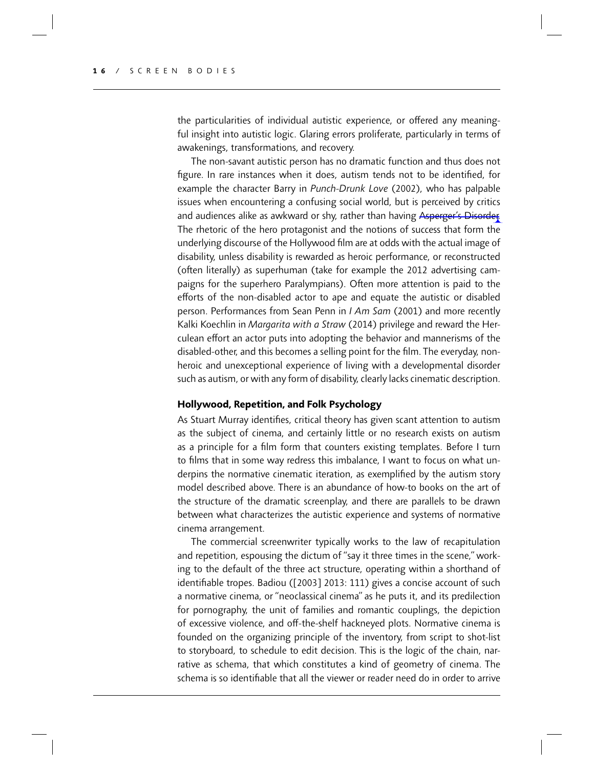the particularities of individual autistic experience, or offered any meaningful insight into autistic logic. Glaring errors proliferate, particularly in terms of *awakenings, transformations, and recovery.* 

*The non-savant autistic person has no dramatic function and thus does not*  figure. In rare instances when it does, autism tends not to be identified, for *example the character Barry in Punch-Drunk Love (2002), who has palpable*  issues when encountering a confusing social world, but is perceived by critics *and audiences alike as awkward or shy, rather than having Asperger's Disorder. The rhetoric of the hero protagonist and the notions of success that form the underlying discourse of the Hollywood fi lm are at odds with the actual image of disability, unless disability is rewarded as heroic performance, or reconstructed*  (often literally) as superhuman (take for example the 2012 advertising campaigns for the superhero Paralympians). Often more attention is paid to the *eff orts of the non-disabled actor to ape and equate the autistic or disabled person. Performances from Sean Penn in I Am Sam (2001) and more recently Kalki Koechlin in Margarita with a Straw (2014) privilege and reward the Herculean effort an actor puts into adopting the behavior and mannerisms of the* disabled-other, and this becomes a selling point for the film. The everyday, non*heroic and unexceptional experience of living with a developmental disorder such as autism, or with any form of disability, clearly lacks cinematic description.*

#### *Hollywood, Repetition, and Folk Psychology*

As Stuart Murray identifies, critical theory has given scant attention to autism *as the subject of cinema, and certainly little or no research exists on autism*  as a principle for a film form that counters existing templates. Before I turn to films that in some way redress this imbalance, I want to focus on what un*derpins the normative cinematic iteration, as exemplified by the autism story model described above. There is an abundance of how-to books on the art of the structure of the dramatic screenplay, and there are parallels to be drawn between what characterizes the autistic experience and systems of normative cinema arrangement.* 

*The commercial screenwriter typically works to the law of recapitulation and repetition, espousing the dictum of "say it three times in the scene," work*ing to the default of the three act structure, operating within a shorthand of *identifiable tropes. Badiou* ([2003] 2013: 111) gives a concise account of such *a normative cinema, or "neoclassical cinema" as he puts it, and its predilection for pornography, the unit of families and romantic couplings, the depiction of excessive violence, and off -the-shelf hackneyed plots. Normative cinema is founded on the organizing principle of the inventory, from script to shot-list to storyboard, to schedule to edit decision. This is the logic of the chain, nar*rative as schema, that which constitutes a kind of geometry of cinema. The *schema is so identifi able that all the viewer or reader need do in order to arrive*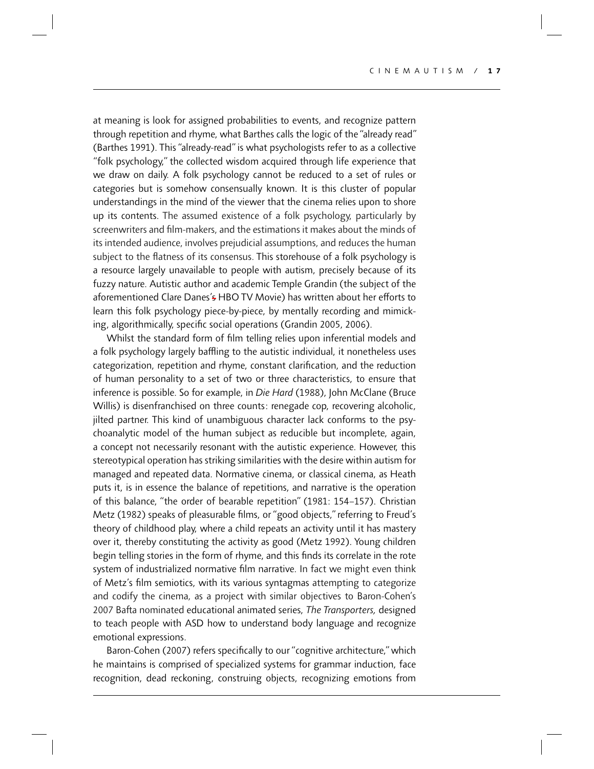*at meaning is look for assigned probabilities to events, and recognize pattern through repetition and rhyme, what Barthes calls the logic of the "already read" (Barthes 1991). This "already-read" is what psychologists refer to as a collective "folk psychology," the collected wisdom acquired through life experience that*  we draw on daily. A folk psychology cannot be reduced to a set of rules or *categories but is somehow consensually known. It is this cluster of popular understandings in the mind of the viewer that the cinema relies upon to shore up its contents. The assumed existence of a folk psychology, particularly by*  screenwriters and film-makers, and the estimations it makes about the minds of its intended audience, involves prejudicial assumptions, and reduces the human subject to the flatness of its consensus. This storehouse of a folk psychology is *a resource largely unavailable to people with autism, precisely because of its fuzzy nature. Autistic author and academic Temple Grandin (the subject of the*  aforementioned Clare Danes's HBO TV Movie) has written about her efforts to *learn this folk psychology piece-by-piece, by mentally recording and mimick*ing, algorithmically, specific social operations (Grandin 2005, 2006).

Whilst the standard form of film telling relies upon inferential models and a folk psychology largely baffling to the autistic individual, it nonetheless uses *categorization, repetition and rhyme, constant clarifi cation, and the reduction of human personality to a set of two or three characteristics, to ensure that inference is possible. So for example, in Die Hard (1988), John McClane (Bruce Willis) is disenfranchised on three counts: renegade cop, recovering alcoholic, jilted partner. This kind of unambiguous character lack conforms to the psychoanalytic model of the human subject as reducible but incomplete, again, a concept not necessarily resonant with the autistic experience. However, this stereotypical operation has striking similarities with the desire within autism for managed and repeated data. Normative cinema, or classical cinema, as Heath puts it, is in essence the balance of repetitions, and narrative is the operation of this balance, "the order of bearable repetition" (1981: 154–157). Christian Metz (1982) speaks of pleasurable fi lms, or "good objects," referring to Freud's theory of childhood play, where a child repeats an activity until it has mastery over it, thereby constituting the activity as good (Metz 1992). Young children*  begin telling stories in the form of rhyme, and this finds its correlate in the rote system of industrialized normative film narrative. In fact we might even think of Metz's film semiotics, with its various syntagmas attempting to categorize *and codify the cinema, as a project with similar objectives to Baron-Cohen's*  2007 Bafta nominated educational animated series, *The Transporters*, designed *to teach people with ASD how to understand body language and recognize emotional expressions.*

Baron-Cohen (2007) refers specifically to our "cognitive architecture," which *he maintains is comprised of specialized systems for grammar induction, face recognition, dead reckoning, construing objects, recognizing emotions from*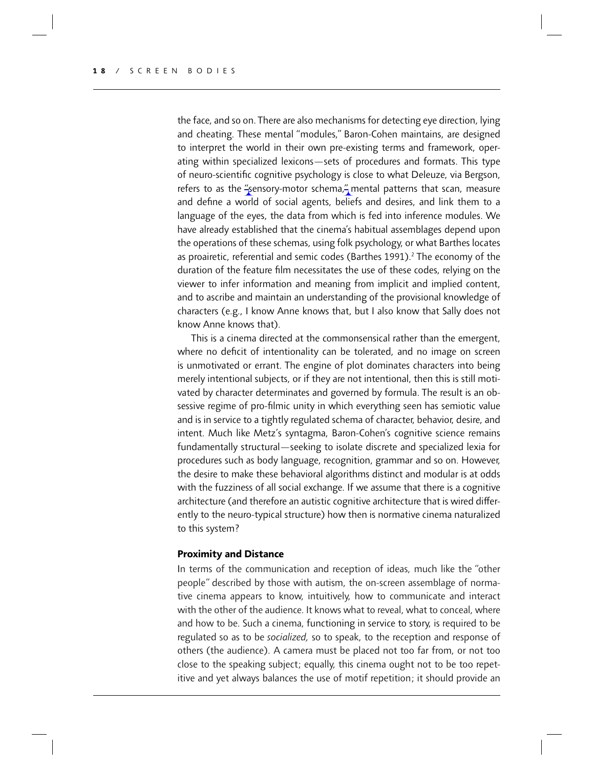*the face, and so on. There are also mechanisms for detecting eye direction, lying and cheating. These mental "modules," Baron-Cohen maintains, are designed to interpret the world in their own pre-existing terms and framework, operating within specialized lexicons—sets of procedures and formats. This type*  of neuro-scientific cognitive psychology is close to what Deleuze, via Bergson, refers to as the "sensory-motor schema," mental patterns that scan, measure and define a world of social agents, beliefs and desires, and link them to a *language of the eyes, the data from which is fed into inference modules. We have already established that the cinema's habitual assemblages depend upon the operations of these schemas, using folk psychology, or what Barthes locates as proairetic, referential and semic codes (Barthes 1991).2 The economy of the*  duration of the feature film necessitates the use of these codes, relying on the *viewer to infer information and meaning from implicit and implied content, and to ascribe and maintain an understanding of the provisional knowledge of characters (e.g., I know Anne knows that, but I also know that Sally does not know Anne knows that).* 

*This is a cinema directed at the commonsensical rather than the emergent,*  where no deficit of intentionality can be tolerated, and no image on screen *is unmotivated or errant. The engine of plot dominates characters into being merely intentional subjects, or if they are not intentional, then this is still motivated by character determinates and governed by formula. The result is an ob*sessive regime of pro-filmic unity in which everything seen has semiotic value *and is in service to a tightly regulated schema of character, behavior, desire, and intent. Much like Metz's syntagma, Baron-Cohen's cognitive science remains fundamentally structural—seeking to isolate discrete and specialized lexia for procedures such as body language, recognition, grammar and so on. However, the desire to make these behavioral algorithms distinct and modular is at odds*  with the fuzziness of all social exchange. If we assume that there is a cognitive architecture (and therefore an autistic cognitive architecture that is wired differ*ently to the neuro-typical structure) how then is normative cinema naturalized to this system?* 

# *Proximity and Distance*

In terms of the communication and reception of ideas, much like the "other *people" described by those with autism, the on-screen assemblage of normative cinema appears to know, intuitively, how to communicate and interact with the other of the audience. It knows what to reveal, what to conceal, where*  and how to be. Such a cinema, functioning in service to story, is required to be *regulated so as to be socialized, so to speak, to the reception and response of others (the audience). A camera must be placed not too far from, or not too close to the speaking subject; equally, this cinema ought not to be too repetitive and yet always balances the use of motif repetition; it should provide an*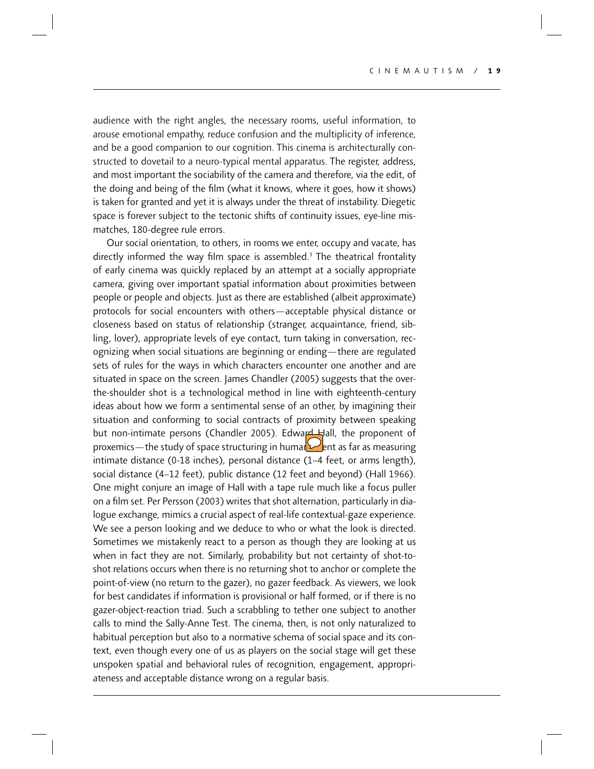audience with the right angles, the necessary rooms, useful information, to *arouse emotional empathy, reduce confusion and the multiplicity of inference, and be a good companion to our cognition. This cinema is architecturally constructed to dovetail to a neuro-typical mental apparatus. The register, address,*  and most important the sociability of the camera and therefore, via the edit, of the doing and being of the film (what it knows, where it goes, how it shows) *is taken for granted and yet it is always under the threat of instability. Diegetic*  space is forever subject to the tectonic shifts of continuity issues, eye-line mis*matches, 180-degree rule errors.* 

*Our social orientation, to others, in rooms we enter, occupy and vacate, has*  directly informed the way film space is assembled.<sup>3</sup> The theatrical frontality *of early cinema was quickly replaced by an attempt at a socially appropriate camera, giving over important spatial information about proximities between people or people and objects. Just as there are established (albeit approximate) protocols for social encounters with others—acceptable physical distance or closeness based on status of relationship (stranger, acquaintance, friend, sibling, lover), appropriate levels of eye contact, turn taking in conversation, recognizing when social situations are beginning or ending—there are regulated sets of rules for the ways in which characters encounter one another and are situated in space on the screen. James Chandler (2005) suggests that the overthe-shoulder shot is a technological method in line with eighteenth-century ideas about how we form a sentimental sense of an other, by imagining their situation and conforming to social contracts of proximity between speaking but non-intimate persons (Chandler 2005). Edward Hall, the proponent of*  proxemics—the study of space structuring in human<sup>t</sup> ent as far as measuring *intimate distance (0-18 inches), personal distance (1–4 feet, or arms length),*  social distance (4–12 feet), public distance (12 feet and beyond) (Hall 1966). *One might conjure an image of Hall with a tape rule much like a focus puller*  on a film set. Per Persson (2003) writes that shot alternation, particularly in dia*logue exchange, mimics a crucial aspect of real-life contextual-gaze experience.*  We see a person looking and we deduce to who or what the look is directed. *Sometimes we mistakenly react to a person as though they are looking at us when in fact they are not. Similarly, probability but not certainty of shot-toshot relations occurs when there is no returning shot to anchor or complete the point-of-view (no return to the gazer), no gazer feedback. As viewers, we look*  for best candidates if information is provisional or half formed, or if there is no *gazer-object-reaction triad. Such a scrabbling to tether one subject to another calls to mind the Sally-Anne Test. The cinema, then, is not only naturalized to habitual perception but also to a normative schema of social space and its con*text, even though every one of us as players on the social stage will get these *unspoken spatial and behavioral rules of recognition, engagement, appropriateness and acceptable distance wrong on a regular basis.*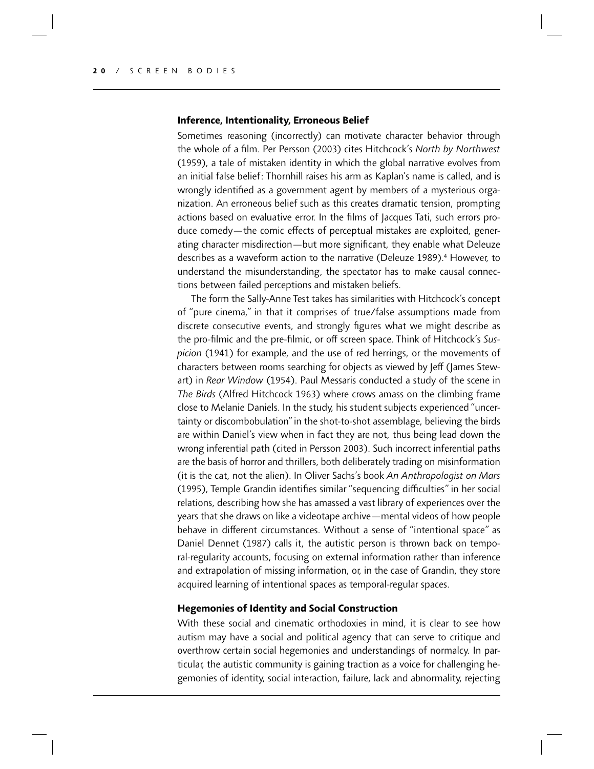#### *Inference, Intentionality, Erroneous Belief*

*Sometimes reasoning (incorrectly) can motivate character behavior through the whole of a fi lm. Per Persson (2003) cites Hitchcock's North by Northwest (1959), a tale of mistaken identity in which the global narrative evolves from an initial false belief: Thornhill raises his arm as Kaplan's name is called, and is*  wrongly identified as a government agent by members of a mysterious orga*nization. An erroneous belief such as this creates dramatic tension, prompting*  actions based on evaluative error. In the films of Jacques Tati, such errors produce comedy—the comic effects of perceptual mistakes are exploited, generating character misdirection—but more significant, they enable what Deleuze *describes as a waveform action to the narrative (Deleuze 1989).4 However, to understand the misunderstanding, the spectator has to make causal connections between failed perceptions and mistaken beliefs.*

*The form the Sally-Anne Test takes has similarities with Hitchcock's concept of "pure cinema," in that it comprises of true/false assumptions made from*  discrete consecutive events, and strongly figures what we might describe as the pro-filmic and the pre-filmic, or off screen space. Think of Hitchcock's Sus*picion (1941) for example, and the use of red herrings, or the movements of characters between rooms searching for objects as viewed by Jeff (James Stewart) in Rear Window (1954). Paul Messaris conducted a study of the scene in The Birds (Alfred Hitchcock 1963) where crows amass on the climbing frame close to Melanie Daniels. In the study, his student subjects experienced "uncertainty or discombobulation" in the shot-to-shot assemblage, believing the birds are within Daniel's view when in fact they are not, thus being lead down the wrong inferential path (cited in Persson 2003). Such incorrect inferential paths are the basis of horror and thrillers, both deliberately trading on misinformation (it is the cat, not the alien). In Oliver Sachs's book An Anthropologist on Mars*  (1995), Temple Grandin identifies similar "sequencing difficulties" in her social relations, describing how she has amassed a vast library of experiences over the *years that she draws on like a videotape archive—mental videos of how people*  behave in different circumstances. Without a sense of "intentional space" as *Daniel Dennet (1987) calls it, the autistic person is thrown back on temporal-regularity accounts, focusing on external information rather than inference*  and extrapolation of missing information, or, in the case of Grandin, they store *acquired learning of intentional spaces as temporal-regular spaces.*

# *Hegemonies of Identity and Social Construction*

*With these social and cinematic orthodoxies in mind, it is clear to see how autism may have a social and political agency that can serve to critique and overthrow certain social hegemonies and understandings of normalcy. In particular, the autistic community is gaining traction as a voice for challenging hegemonies of identity, social interaction, failure, lack and abnormality, rejecting*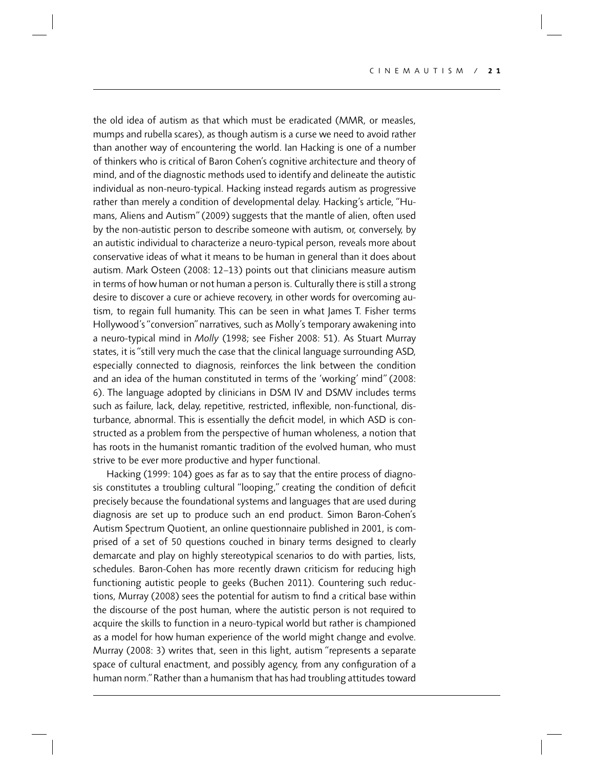*the old idea of autism as that which must be eradicated (MMR, or measles, mumps and rubella scares), as though autism is a curse we need to avoid rather than another way of encountering the world. Ian Hacking is one of a number of thinkers who is critical of Baron Cohen's cognitive architecture and theory of mind, and of the diagnostic methods used to identify and delineate the autistic individual as non-neuro-typical. Hacking instead regards autism as progressive rather than merely a condition of developmental delay. Hacking's article, "Humans, Aliens and Autism" (2009) suggests that the mantle of alien, often used by the non-autistic person to describe someone with autism, or, conversely, by an autistic individual to characterize a neuro-typical person, reveals more about conservative ideas of what it means to be human in general than it does about autism. Mark Osteen (2008: 12–13) points out that clinicians measure autism*  in terms of how human or not human a person is. Culturally there is still a strong *desire to discover a cure or achieve recovery, in other words for overcoming autism, to regain full humanity. This can be seen in what James T. Fisher terms Hollywood's "conversion" narratives, such as Molly's temporary awakening into a neuro-typical mind in Molly (1998; see Fisher 2008: 51). As Stuart Murray states, it is "still very much the case that the clinical language surrounding ASD, especially connected to diagnosis, reinforces the link between the condition and an idea of the human constituted in terms of the 'working' mind" (2008: 6). The language adopted by clinicians in DSM IV and DSMV includes terms*  such as failure, lack, delay, repetitive, restricted, inflexible, non-functional, disturbance, abnormal. This is essentially the deficit model, in which ASD is con*structed as a problem from the perspective of human wholeness, a notion that has roots in the humanist romantic tradition of the evolved human, who must strive to be ever more productive and hyper functional.* 

*Hacking (1999: 104) goes as far as to say that the entire process of diagno*sis constitutes a troubling cultural "looping," creating the condition of deficit *precisely because the foundational systems and languages that are used during diagnosis are set up to produce such an end product. Simon Baron-Cohen's Autism Spectrum Quotient, an online questionnaire published in 2001, is comprised of a set of 50 questions couched in binary terms designed to clearly*  demarcate and play on highly stereotypical scenarios to do with parties, lists, *schedules. Baron-Cohen has more recently drawn criticism for reducing high functioning autistic people to geeks (Buchen 2011). Countering such reduc*tions, Murray (2008) sees the potential for autism to find a critical base within *the discourse of the post human, where the autistic person is not required to acquire the skills to function in a neuro-typical world but rather is championed as a model for how human experience of the world might change and evolve. Murray (2008: 3) writes that, seen in this light, autism "represents a separate*  space of cultural enactment, and possibly agency, from any configuration of a *human norm." Rather than a humanism that has had troubling attitudes toward*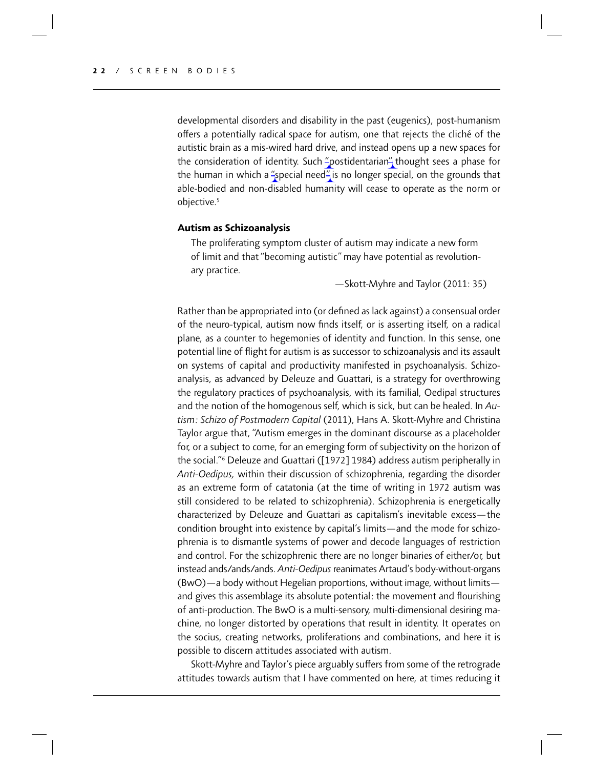*developmental disorders and disability in the past (eugenics), post-humanism off ers a potentially radical space for autism, one that rejects the cliché of the autistic brain as a mis-wired hard drive, and instead opens up a new spaces for the consideration of identity. Such "postidentarian" thought sees a phase for the human in which a "special need" is no longer special, on the grounds that able-bodied and non-disabled humanity will cease to operate as the norm or objective.5*

# *Autism as Schizoanalysis*

*The proliferating symptom cluster of autism may indicate a new form of limit and that "becoming autistic" may have potential as revolutionary practice.*

*—Skott-Myhre and Taylor (2011: 35)*

*Rather than be appropriated into (or defi ned as lack against) a consensual order*  of the neuro-typical, autism now finds itself, or is asserting itself, on a radical *plane, as a counter to hegemonies of identity and function. In this sense, one potential line of fl ight for autism is as successor to schizoanalysis and its assault on systems of capital and productivity manifested in psychoanalysis. Schizoanalysis, as advanced by Deleuze and Guattari, is a strategy for overthrowing the regulatory practices of psychoanalysis, with its familial, Oedipal structures*  and the notion of the homogenous self, which is sick, but can be healed. In Au*tism: Schizo of Postmodern Capital (2011), Hans A. Skott-Myhre and Christina Taylor argue that, "Autism emerges in the dominant discourse as a placeholder*  for, or a subject to come, for an emerging form of subjectivity on the horizon of *the social."6 Deleuze and Guattari ([1972] 1984) address autism peripherally in Anti-Oedipus, within their discussion of schizophrenia, regarding the disorder as an extreme form of catatonia (at the time of writing in 1972 autism was still considered to be related to schizophrenia). Schizophrenia is energetically characterized by Deleuze and Guattari as capitalism's inevitable excess—the condition brought into existence by capital's limits—and the mode for schizophrenia is to dismantle systems of power and decode languages of restriction and control. For the schizophrenic there are no longer binaries of either/or, but instead ands/ands/ands. Anti-Oedipus reanimates Artaud's body-without-organs (BwO)—a body without Hegelian proportions, without image, without limits* and gives this assemblage its absolute potential: the movement and flourishing *of anti-production. The BwO is a multi-sensory, multi-dimensional desiring machine, no longer distorted by operations that result in identity. It operates on the socius, creating networks, proliferations and combinations, and here it is possible to discern attitudes associated with autism.*

Skott-Myhre and Taylor's piece arguably suffers from some of the retrograde *attitudes towards autism that I have commented on here, at times reducing it*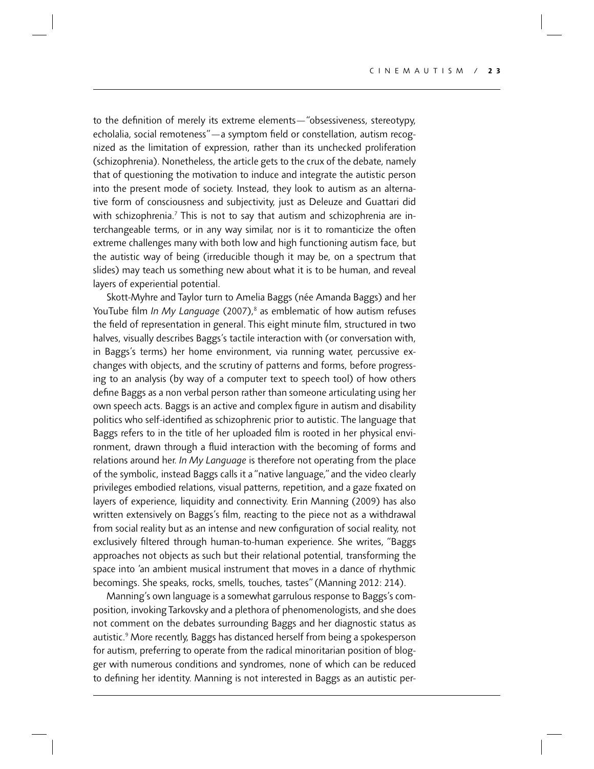to the definition of merely its extreme elements—"obsessiveness, stereotypy, echolalia, social remoteness" - a symptom field or constellation, autism recog*nized as the limitation of expression, rather than its unchecked proliferation (schizophrenia). Nonetheless, the article gets to the crux of the debate, namely that of questioning the motivation to induce and integrate the autistic person into the present mode of society. Instead, they look to autism as an alternative form of consciousness and subjectivity, just as Deleuze and Guattari did with schizophrenia.7 This is not to say that autism and schizophrenia are interchangeable terms, or in any way similar, nor is it to romanticize the often extreme challenges many with both low and high functioning autism face, but the autistic way of being (irreducible though it may be, on a spectrum that slides) may teach us something new about what it is to be human, and reveal layers of experiential potential.*

*Skott-Myhre and Taylor turn to Amelia Baggs (née Amanda Baggs) and her YouTube fi lm In My Language (2007),8 as emblematic of how autism refuses*  the field of representation in general. This eight minute film, structured in two *halves, visually describes Baggs's tactile interaction with (or conversation with, in Baggs's terms) her home environment, via running water, percussive exchanges with objects, and the scrutiny of patterns and forms, before progressing to an analysis (by way of a computer text to speech tool) of how others defi ne Baggs as a non verbal person rather than someone articulating using her*  own speech acts. Baggs is an active and complex figure in autism and disability politics who self-identified as schizophrenic prior to autistic. The language that Baggs refers to in the title of her uploaded film is rooted in her physical environment, drawn through a fluid interaction with the becoming of forms and *relations around her. In My Language is therefore not operating from the place of the symbolic, instead Baggs calls it a "native language," and the video clearly*  privileges embodied relations, visual patterns, repetition, and a gaze fixated on *layers of experience, liquidity and connectivity. Erin Manning (2009) has also written extensively on Baggs's fi lm, reacting to the piece not as a withdrawal*  from social reality but as an intense and new configuration of social reality, not *exclusively fi ltered through human-to-human experience. She writes, "Baggs approaches not objects as such but their relational potential, transforming the space into 'an ambient musical instrument that moves in a dance of rhythmic becomings. She speaks, rocks, smells, touches, tastes" (Manning 2012: 214).*

*Manning's own language is a somewhat garrulous response to Baggs's composition, invoking Tarkovsky and a plethora of phenomenologists, and she does not comment on the debates surrounding Baggs and her diagnostic status as autistic.9 More recently, Baggs has distanced herself from being a spokesperson for autism, preferring to operate from the radical minoritarian position of blogger with numerous conditions and syndromes, none of which can be reduced*  to defining her identity. Manning is not interested in Baggs as an autistic per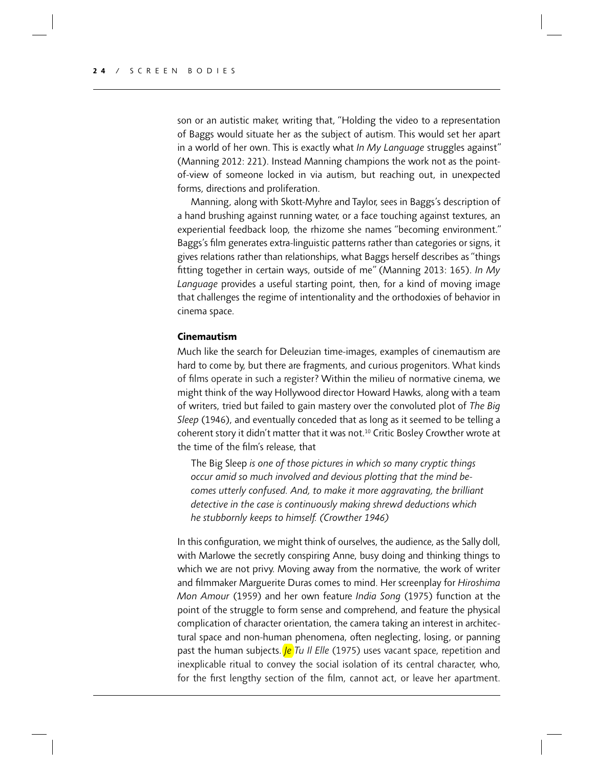*son or an autistic maker, writing that, "Holding the video to a representation of Baggs would situate her as the subject of autism. This would set her apart in a world of her own. This is exactly what In My Language struggles against" (Manning 2012: 221). Instead Manning champions the work not as the pointof-view of someone locked in via autism, but reaching out, in unexpected forms, directions and proliferation.*

*Manning, along with Skott-Myhre and Taylor, sees in Baggs's description of a hand brushing against running water, or a face touching against textures, an experiential feedback loop, the rhizome she names "becoming environment."*  Baggs's film generates extra-linguistic patterns rather than categories or signs, it *gives relations rather than relationships, what Baggs herself describes as "things fi tting together in certain ways, outside of me" (Manning 2013: 165). In My Language provides a useful starting point, then, for a kind of moving image that challenges the regime of intentionality and the orthodoxies of behavior in cinema space.*

## *Cinemautism*

*Much like the search for Deleuzian time-images, examples of cinemautism are hard to come by, but there are fragments, and curious progenitors. What kinds*  of films operate in such a register? Within the milieu of normative cinema, we *might think of the way Hollywood director Howard Hawks, along with a team of writers, tried but failed to gain mastery over the convoluted plot of The Big Sleep (1946), and eventually conceded that as long as it seemed to be telling a coherent story it didn't matter that it was not.10 Critic Bosley Crowther wrote at the time of the fi lm's release, that* 

*The Big Sleep is one of those pictures in which so many cryptic things occur amid so much involved and devious plotting that the mind becomes utterly confused. And, to make it more aggravating, the brilliant detective in the case is continuously making shrewd deductions which he stubbornly keeps to himself. (Crowther 1946)* 

In this configuration, we might think of ourselves, the audience, as the Sally doll, *with Marlowe the secretly conspiring Anne, busy doing and thinking things to*  which we are not privy. Moving away from the normative, the work of writer *and fi lmmaker Marguerite Duras comes to mind. Her screenplay for Hiroshima Mon Amour (1959) and her own feature India Song (1975) function at the*  point of the struggle to form sense and comprehend, and feature the physical *complication of character orientation, the camera taking an interest in architec*tural space and non-human phenomena, often neglecting, losing, or panning *past the human subjects. Je Tu Il Elle (1975) uses vacant space, repetition and inexplicable ritual to convey the social isolation of its central character, who,*  for the first lengthy section of the film, cannot act, or leave her apartment.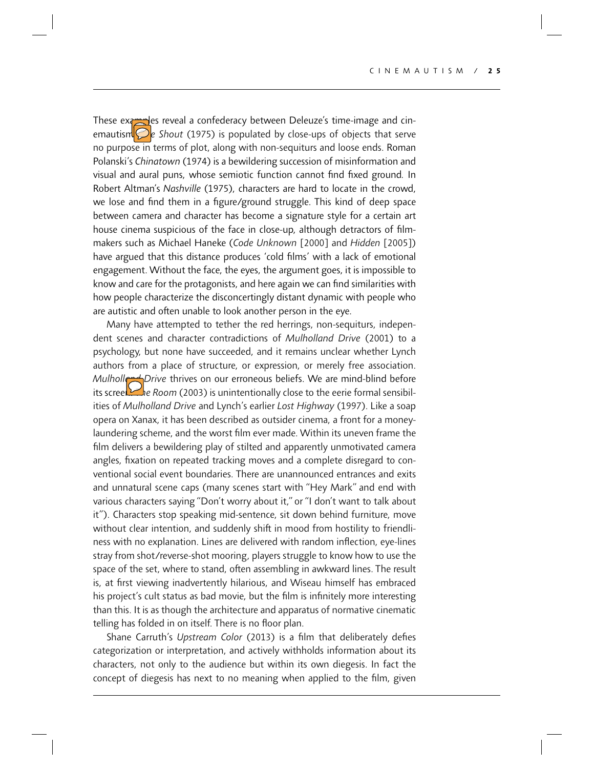These exangles reveal a confederacy between Deleuze's time-image and cin*emautism. The Shout (1975) is populated by close-ups of objects that serve no purpose in terms of plot, along with non-sequiturs and loose ends. Roman Polanski's Chinatown (1974) is a bewildering succession of misinformation and visual and aural puns, whose semiotic function cannot fi nd fi xed ground. In Robert Altman's Nashville (1975), characters are hard to locate in the crowd,*  we lose and find them in a figure/ground struggle. This kind of deep space *between camera and character has become a signature style for a certain art*  house cinema suspicious of the face in close-up, although detractors of film*makers such as Michael Haneke (Code Unknown [2000] and Hidden [2005])* have argued that this distance produces 'cold films' with a lack of emotional *engagement. Without the face, the eyes, the argument goes, it is impossible to*  know and care for the protagonists, and here again we can find similarities with *how people characterize the disconcertingly distant dynamic with people who are autistic and oft en unable to look another person in the eye.*

*Many have attempted to tether the red herrings, non-sequiturs, independent scenes and character contradictions of Mulholland Drive (2001) to a psychology, but none have succeeded, and it remains unclear whether Lynch authors from a place of structure, or expression, or merely free association. Mulholland Drive thrives on our erroneous beliefs. We are mind-blind before its scree The Room* (2003) is unintentionally close to the eerie formal sensibil*ities of Mulholland Drive and Lynch's earlier Lost Highway (1997). Like a soap opera on Xanax, it has been described as outsider cinema, a front for a moneylaundering scheme, and the worst fi lm ever made. Within its uneven frame the*  film delivers a bewildering play of stilted and apparently unmotivated camera angles, fixation on repeated tracking moves and a complete disregard to con*ventional social event boundaries. There are unannounced entrances and exits and unnatural scene caps (many scenes start with "Hey Mark" and end with various characters saying "Don't worry about it," or "I don't want to talk about*  it"). Characters stop speaking mid-sentence, sit down behind furniture, move *without clear intention, and suddenly shift in mood from hostility to friendliness with no explanation. Lines are delivered with random infl ection, eye-lines stray from shot/reverse-shot mooring, players struggle to know how to use the*  space of the set, where to stand, often assembling in awkward lines. The result is, at first viewing inadvertently hilarious, and Wiseau himself has embraced his project's cult status as bad movie, but the film is infinitely more interesting *than this. It is as though the architecture and apparatus of normative cinematic*  telling has folded in on itself. There is no floor plan.

*Shane Carruth's Upstream Color* (2013) is a film that deliberately defies *categorization or interpretation, and actively withholds information about its characters, not only to the audience but within its own diegesis. In fact the concept of diegesis has next to no meaning when applied to the film, given*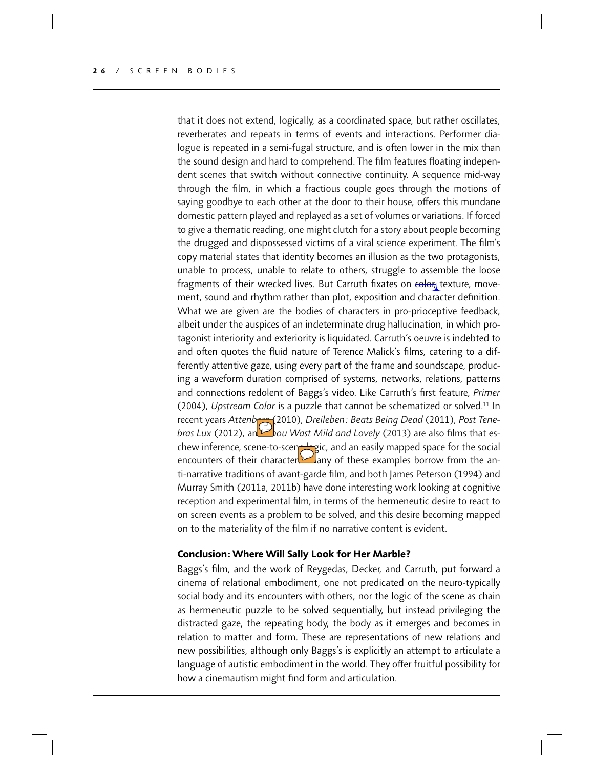*that it does not extend, logically, as a coordinated space, but rather oscillates, reverberates and repeats in terms of events and interactions. Performer dia*logue is repeated in a semi-fugal structure, and is often lower in the mix than the sound design and hard to comprehend. The film features floating indepen*dent scenes that switch without connective continuity. A sequence mid-way through the film, in which a fractious couple goes through the motions of* saying goodbye to each other at the door to their house, offers this mundane *domestic pattern played and replayed as a set of volumes or variations. If forced to give a thematic reading, one might clutch for a story about people becoming*  the drugged and dispossessed victims of a viral science experiment. The film's *copy material states that identity becomes an illusion as the two protagonists, unable to process, unable to relate to others, struggle to assemble the loose*  fragments of their wrecked lives. But Carruth fixates on color, texture, move*ment, sound and rhythm rather than plot, exposition and character definition. What we are given are the bodies of characters in pro-prioceptive feedback, albeit under the auspices of an indeterminate drug hallucination, in which protagonist interiority and exteriority is liquidated. Carruth's oeuvre is indebted to*  and often quotes the fluid nature of Terence Malick's films, catering to a dif*ferently attentive gaze, using every part of the frame and soundscape, producing a waveform duration comprised of systems, networks, relations, patterns*  and connections redolent of Baggs's video. Like Carruth's first feature, *Primer (2004), Upstream Color is a puzzle that cannot be schematized or solved.11 In recent years Attenberg (2010), Dreileben: Beats Being Dead (2011), Post Tenebras Lux (2012), an <i>Thou Wast Mild and Lovely* (2013) are also films that es*chew inference, scene-to-scene logic, and an easily mapped space for the social* encounters of their character any of these examples borrow from the anti-narrative traditions of avant-garde film, and both James Peterson (1994) and *Murray Smith (2011a, 2011b) have done interesting work looking at cognitive*  reception and experimental film, in terms of the hermeneutic desire to react to *on screen events as a problem to be solved, and this desire becoming mapped*  on to the materiality of the film if no narrative content is evident.

## *Conclusion: Where Will Sally Look for Her Marble?*

Baggs's film, and the work of Reygedas, Decker, and Carruth, put forward a *cinema of relational embodiment, one not predicated on the neuro-typically social body and its encounters with others, nor the logic of the scene as chain as hermeneutic puzzle to be solved sequentially, but instead privileging the distracted gaze, the repeating body, the body as it emerges and becomes in relation to matter and form. These are representations of new relations and new possibilities, although only Baggs's is explicitly an attempt to articulate a*  language of autistic embodiment in the world. They offer fruitful possibility for how a cinemautism might find form and articulation.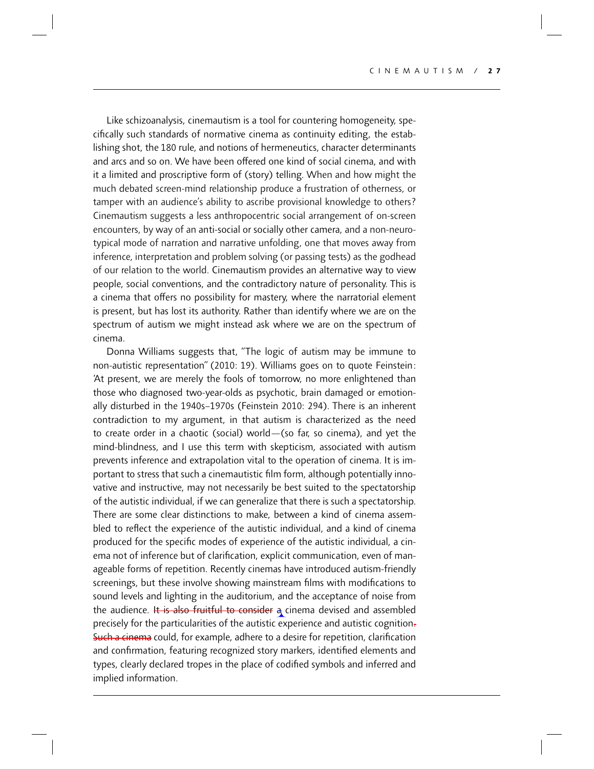*Like schizoanalysis, cinemautism is a tool for countering homogeneity, specifi cally such standards of normative cinema as continuity editing, the establishing shot, the 180 rule, and notions of hermeneutics, character determinants*  and arcs and so on. We have been offered one kind of social cinema, and with *it a limited and proscriptive form of (story) telling. When and how might the much debated screen-mind relationship produce a frustration of otherness, or tamper with an audience's ability to ascribe provisional knowledge to others? Cinemautism suggests a less anthropocentric social arrangement of on-screen encounters, by way of an anti-social or socially other camera, and a non-neurotypical mode of narration and narrative unfolding, one that moves away from inference, interpretation and problem solving (or passing tests) as the godhead of our relation to the world. Cinemautism provides an alternative way to view people, social conventions, and the contradictory nature of personality. This is*  a cinema that offers no possibility for mastery, where the narratorial element *is present, but has lost its authority. Rather than identify where we are on the*  spectrum of autism we might instead ask where we are on the spectrum of *cinema.* 

*Donna Williams suggests that, "The logic of autism may be immune to non-autistic representation" (2010: 19). Williams goes on to quote Feinstein: 'At present, we are merely the fools of tomorrow, no more enlightened than those who diagnosed two-year-olds as psychotic, brain damaged or emotionally disturbed in the 1940s–1970s (Feinstein 2010: 294). There is an inherent contradiction to my argument, in that autism is characterized as the need to create order in a chaotic (social) world—(so far, so cinema), and yet the mind-blindness, and I use this term with skepticism, associated with autism prevents inference and extrapolation vital to the operation of cinema. It is im*portant to stress that such a cinemautistic film form, although potentially innovative and instructive, may not necessarily be best suited to the spectatorship *of the autistic individual, if we can generalize that there is such a spectatorship. There are some clear distinctions to make, between a kind of cinema assem*bled to reflect the experience of the autistic individual, and a kind of cinema produced for the specific modes of experience of the autistic individual, a cinema not of inference but of clarification, explicit communication, even of man*ageable forms of repetition. Recently cinemas have introduced autism-friendly screenings, but these involve showing mainstream fi lms with modifi cations to sound levels and lighting in the auditorium, and the acceptance of noise from the audience. It is also fruitful to consider a cinema devised and assembled precisely for the particularities of the autistic experience and autistic cognition. Such a cinema could, for example, adhere to a desire for repetition, clarifi cation*  and confirmation, featuring recognized story markers, identified elements and types, clearly declared tropes in the place of codified symbols and inferred and *implied information.*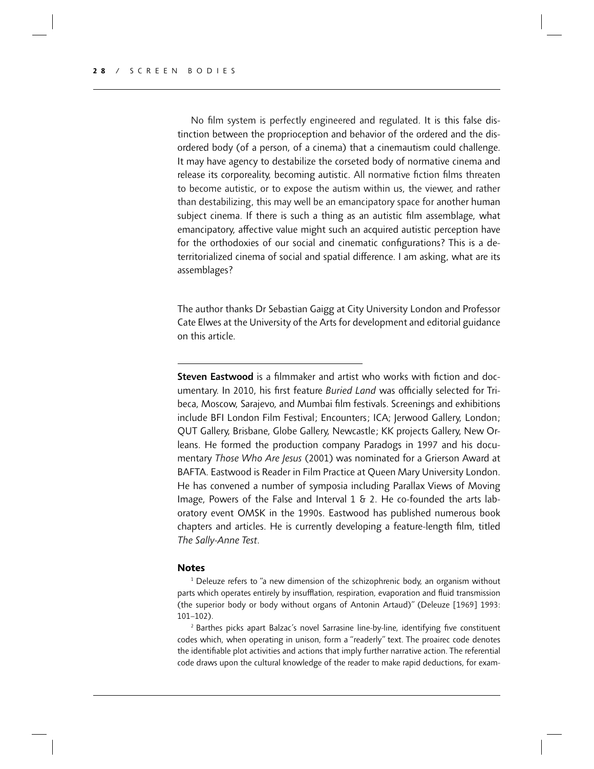No film system is perfectly engineered and regulated. It is this false dis*tinction between the proprioception and behavior of the ordered and the disordered body (of a person, of a cinema) that a cinemautism could challenge. It may have agency to destabilize the corseted body of normative cinema and*  release its corporeality, becoming autistic. All normative fiction films threaten *to become autistic, or to expose the autism within us, the viewer, and rather than destabilizing, this may well be an emancipatory space for another human*  subject cinema. If there is such a thing as an autistic film assemblage, what emancipatory, affective value might such an acquired autistic perception have for the orthodoxies of our social and cinematic configurations? This is a de*territorialized cinema of social and spatial difference. I am asking, what are its assemblages?*

*The author thanks Dr Sebastian Gaigg at City University London and Professor Cate Elwes at the University of the Arts for development and editorial guidance on this article.* 

**Steven Eastwood** is a filmmaker and artist who works with fiction and documentary. In 2010, his first feature Buried Land was officially selected for Tri*beca, Moscow, Sarajevo, and Mumbai fi lm festivals. Screenings and exhibitions include BFI London Film Festival; Encounters; ICA; Jerwood Gallery, London; QUT Gallery, Brisbane, Globe Gallery, Newcastle; KK projects Gallery, New Orleans. He formed the production company Paradogs in 1997 and his documentary Those Who Are Jesus (2001) was nominated for a Grierson Award at BAFTA. Eastwood is Reader in Film Practice at Queen Mary University London. He has convened a number of symposia including Parallax Views of Moving Image, Powers of the False and Interval 1 & 2. He co-founded the arts laboratory event OMSK in the 1990s. Eastwood has published numerous book chapters and articles. He is currently developing a feature-length film, titled The Sally-Anne Test.*

#### *Notes*

*1 Deleuze refers to "a new dimension of the schizophrenic body, an organism without*  parts which operates entirely by insufflation, respiration, evaporation and fluid transmission *(the superior body or body without organs of Antonin Artaud)" (Deleuze [1969] 1993: 101–102).* 

<sup>2</sup> Barthes picks apart Balzac's novel Sarrasine line-by-line, identifying five constituent *codes which, when operating in unison, form a "readerly" text. The proairec code denotes the identifi able plot activities and actions that imply further narrative action. The referential code draws upon the cultural knowledge of the reader to make rapid deductions, for exam-*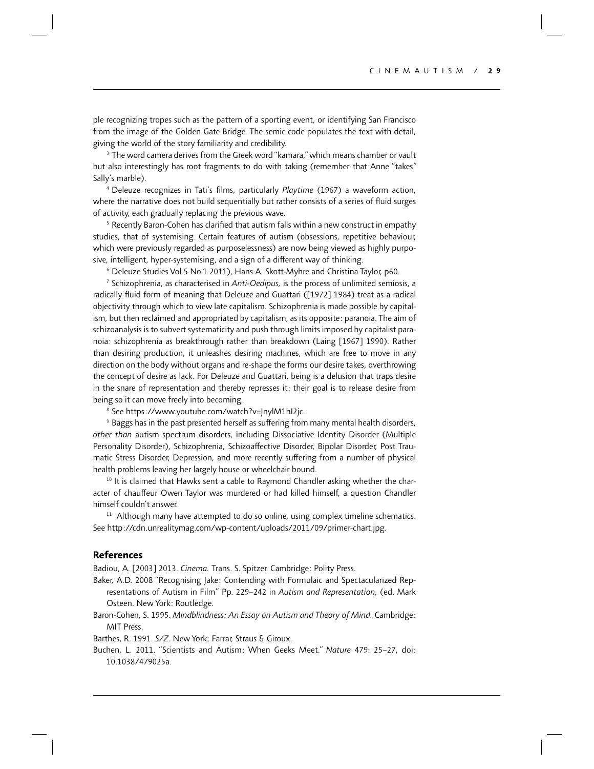*ple recognizing tropes such as the pattern of a sporting event, or identifying San Francisco from the image of the Golden Gate Bridge. The semic code populates the text with detail, giving the world of the story familiarity and credibility.*

*3 The word camera derives from the Greek word "kamara," which means chamber or vault but also interestingly has root fragments to do with taking (remember that Anne "takes" Sally's marble).*

*4 Deleuze recognizes in Tati's fi lms, particularly Playtime (1967) a waveform action,*  where the narrative does not build sequentially but rather consists of a series of fluid surges *of activity, each gradually replacing the previous wave.*

<sup>5</sup> Recently Baron-Cohen has clarified that autism falls within a new construct in empathy *studies, that of systemising. Certain features of autism (obsessions, repetitive behaviour, which were previously regarded as purposelessness) are now being viewed as highly purpo*sive, intelligent, hyper-systemising, and a sign of a different way of thinking.

*6 Deleuze Studies Vol 5 No.1 2011), Hans A. Skott-Myhre and Christina Taylor, p60.*

*7 Schizophrenia, as characterised in Anti-Oedipus, is the process of unlimited semiosis, a*  radically fluid form of meaning that Deleuze and Guattari ([1972] 1984) treat as a radical *objectivity through which to view late capitalism. Schizophrenia is made possible by capital*ism, but then reclaimed and appropriated by capitalism, as its opposite: paranoia. The aim of *schizoanalysis is to subvert systematicity and push through limits imposed by capitalist para*noia: schizophrenia as breakthrough rather than breakdown (Laing [1967] 1990). Rather *than desiring production, it unleashes desiring machines, which are free to move in any direction on the body without organs and re-shape the forms our desire takes, overthrowing the concept of desire as lack. For Deleuze and Guattari, being is a delusion that traps desire in the snare of representation and thereby represses it: their goal is to release desire from being so it can move freely into becoming.*

*8 See https://www.youtube.com/watch?v=JnylM1hI2jc.*

<sup>9</sup> Baggs has in the past presented herself as suffering from many mental health disorders, *other than autism spectrum disorders, including Dissociative Identity Disorder (Multiple*  Personality Disorder), Schizophrenia, Schizoaffective Disorder, Bipolar Disorder, Post Trau*matic Stress Disorder, Depression, and more recently suffering from a number of physical health problems leaving her largely house or wheelchair bound.*

*10 It is claimed that Hawks sent a cable to Raymond Chandler asking whether the char*acter of chauffeur Owen Taylor was murdered or had killed himself, a question Chandler *himself couldn't answer.*

<sup>11</sup> Although many have attempted to do so online, using complex timeline schematics. *See http://cdn.unrealitymag.com/wp-content/uploads/2011/09/primer-chart.jpg.*

#### *References*

*Badiou, A. [2003] 2013. Cinema. Trans. S. Spitzer. Cambridge: Polity Press.*

- *Baker, A.D. 2008 "Recognising Jake: Contending with Formulaic and Spectacularized Representations of Autism in Film" Pp. 229–242 in Autism and Representation, (ed. Mark Osteen. New York: Routledge.*
- *Baron-Cohen, S. 1995. Mindblindness: An Essay on Autism and Theory of Mind. Cambridge: MIT Press.*

*Barthes, R. 1991. S/Z. New York: Farrar, Straus & Giroux.*

*Buchen, L. 2011. "Scientists and Autism: When Geeks Meet." Nature 479: 25–27, doi: 10.1038/479025a.*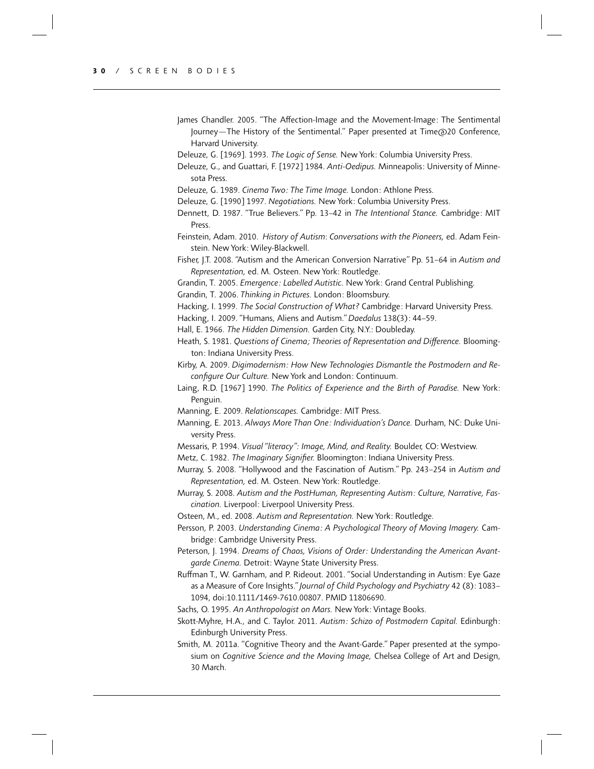- James Chandler. 2005. "The Affection-Image and the Movement-Image: The Sentimental *Journey—The History of the Sentimental." Paper presented at Time@20 Conference, Harvard University.*
- *Deleuze, G. [1969]. 1993. The Logic of Sense. New York: Columbia University Press.*
- *Deleuze, G., and Guattari, F. [1972] 1984. Anti-Oedipus. Minneapolis: University of Minnesota Press.*
- *Deleuze, G. 1989. Cinema Two: The Time Image. London: Athlone Press.*
- *Deleuze, G. [1990] 1997. Negotiations. New York: Columbia University Press.*
- *Dennett, D. 1987. "True Believers." Pp. 13–42 in The Intentional Stance. Cambridge: MIT Press.*
- *Feinstein, Adam. 2010. History of Autism: Conversations with the Pioneers, ed. Adam Feinstein. New York: Wiley-Blackwell.*
- *Fisher, J.T. 2008. "Autism and the American Conversion Narrative" Pp. 51-64 in Autism and Representation, ed. M. Osteen. New York: Routledge.*
- *Grandin, T. 2005. Emergence: Labelled Autistic. New York: Grand Central Publishing.*
- *Grandin, T. 2006. Thinking in Pictures. London: Bloomsbury.*
- *Hacking, I. 1999. The Social Construction of What? Cambridge: Harvard University Press.*
- *Hacking, I. 2009. "Humans, Aliens and Autism." Daedalus 138(3): 44–59.*
- *Hall, E. 1966. The Hidden Dimension. Garden City, N.Y.: Doubleday.*
- Heath, S. 1981. Questions of Cinema; Theories of Representation and Difference. Blooming*ton: Indiana University Press.*
- *Kirby, A. 2009. Digimodernism: How New Technologies Dismantle the Postmodern and Reconfigure Our Culture.* New York and London: Continuum.
- *Laing, R.D. [1967] 1990. The Politics of Experience and the Birth of Paradise. New York: Penguin.*
- *Manning, E. 2009. Relationscapes. Cambridge: MIT Press.*
- *Manning, E. 2013. Always More Than One: Individuation's Dance. Durham, NC: Duke University Press.*
- *Messaris, P. 1994. Visual "literacy": Image, Mind, and Reality. Boulder, CO: Westview.*
- *Metz, C. 1982. The Imaginary Signifier. Bloomington: Indiana University Press.*
- *Murray, S. 2008. "Hollywood and the Fascination of Autism." Pp. 243-254 in Autism and Representation, ed. M. Osteen. New York: Routledge.*
- *Murray, S. 2008. Autism and the PostHuman, Representing Autism: Culture, Narrative, Fascination. Liverpool: Liverpool University Press.*
- *Osteen, M., ed. 2008. Autism and Representation. New York: Routledge.*
- *Persson, P. 2003. Understanding Cinema: A Psychological Theory of Moving Imagery. Cambridge: Cambridge University Press.*
- *Peterson, J. 1994. Dreams of Chaos, Visions of Order: Understanding the American Avantgarde Cinema. Detroit: Wayne State University Press.*
- *Ruff man T., W. Garnham, and P. Rideout. 2001. "Social Understanding in Autism: Eye Gaze as a Measure of Core Insights." Journal of Child Psychology and Psychiatry 42 (8): 1083– 1094, doi:10.1111/1469-7610.00807. PMID 11806690.*
- *Sachs, O. 1995. An Anthropologist on Mars. New York: Vintage Books.*
- *Skott-Myhre, H.A., and C. Taylor. 2011. Autism: Schizo of Postmodern Capital. Edinburgh: Edinburgh University Press.*
- *Smith, M. 2011a. "Cognitive Theory and the Avant-Garde." Paper presented at the symposium on Cognitive Science and the Moving Image, Chelsea College of Art and Design, 30 March.*